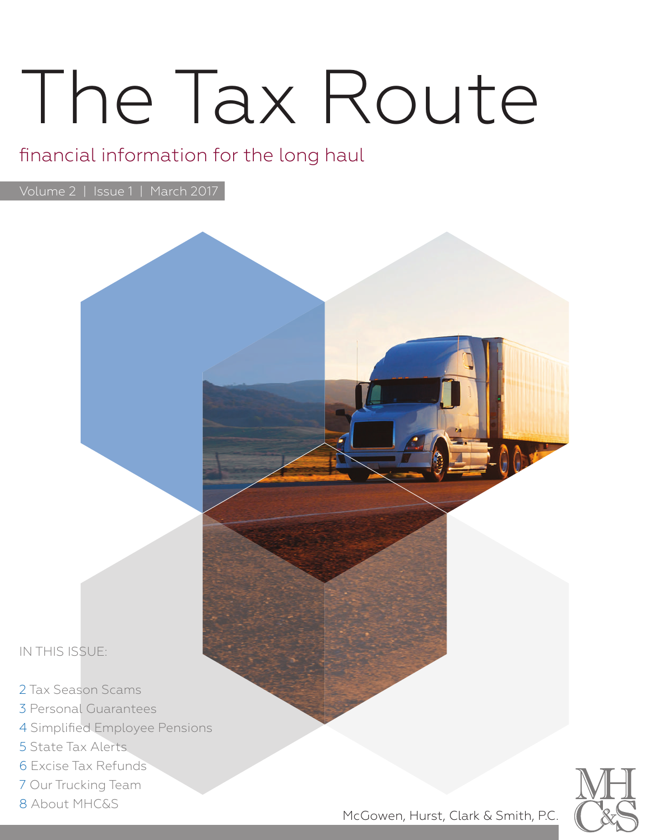# The Tax Route

### financial information for the long haul

Volume 2 | Issue 1 | March 2017



- 3 Personal Guarantees
- 4 Simplified Employee Pensions
- 5 State Tax Alerts
- 6 Excise Tax Refunds
- 7 Our Trucking Team
- 8 About MHC&S



McGowen, Hurst, Clark & Smith, P.C.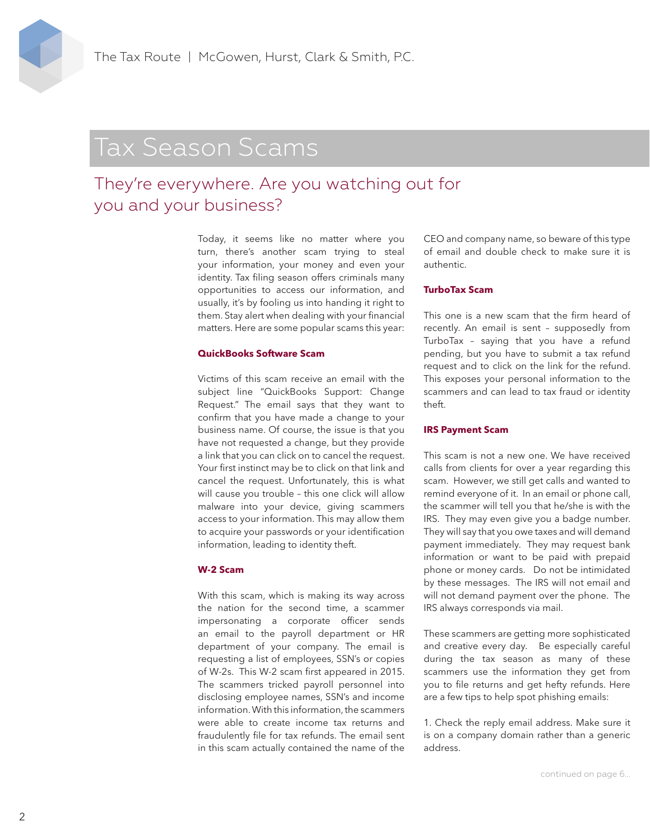# Tax Season Scams

### They're everywhere. Are you watching out for you and your business?

Today, it seems like no matter where you turn, there's another scam trying to steal your information, your money and even your identity. Tax filing season offers criminals many opportunities to access our information, and usually, it's by fooling us into handing it right to them. Stay alert when dealing with your financial matters. Here are some popular scams this year:

#### **QuickBooks Software Scam**

Victims of this scam receive an email with the subject line "QuickBooks Support: Change Request." The email says that they want to confirm that you have made a change to your business name. Of course, the issue is that you have not requested a change, but they provide a link that you can click on to cancel the request. Your first instinct may be to click on that link and cancel the request. Unfortunately, this is what will cause you trouble – this one click will allow malware into your device, giving scammers access to your information. This may allow them to acquire your passwords or your identification information, leading to identity theft.

#### **W-2 Scam**

With this scam, which is making its way across the nation for the second time, a scammer impersonating a corporate officer sends an email to the payroll department or HR department of your company. The email is requesting a list of employees, SSN's or copies of W-2s. This W-2 scam first appeared in 2015. The scammers tricked payroll personnel into disclosing employee names, SSN's and income information. With this information, the scammers were able to create income tax returns and fraudulently file for tax refunds. The email sent in this scam actually contained the name of the

CEO and company name, so beware of this type of email and double check to make sure it is authentic.

#### **TurboTax Scam**

This one is a new scam that the firm heard of recently. An email is sent – supposedly from TurboTax – saying that you have a refund pending, but you have to submit a tax refund request and to click on the link for the refund. This exposes your personal information to the scammers and can lead to tax fraud or identity theft.

#### **IRS Payment Scam**

This scam is not a new one. We have received calls from clients for over a year regarding this scam. However, we still get calls and wanted to remind everyone of it. In an email or phone call, the scammer will tell you that he/she is with the IRS. They may even give you a badge number. They will say that you owe taxes and will demand payment immediately. They may request bank information or want to be paid with prepaid phone or money cards. Do not be intimidated by these messages. The IRS will not email and will not demand payment over the phone. The IRS always corresponds via mail.

These scammers are getting more sophisticated and creative every day. Be especially careful during the tax season as many of these scammers use the information they get from you to file returns and get hefty refunds. Here are a few tips to help spot phishing emails:

1. Check the reply email address. Make sure it is on a company domain rather than a generic address.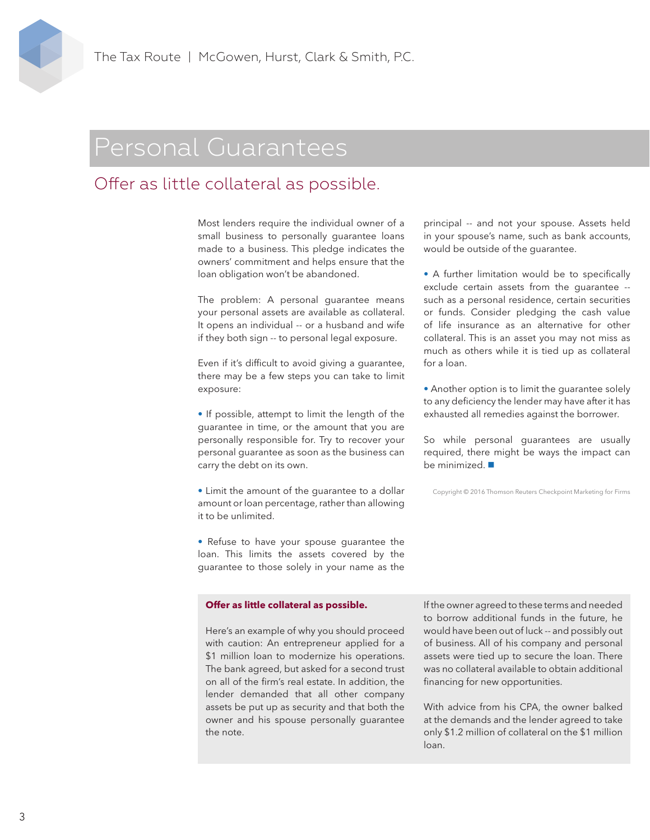### Personal Guarantees

### Offer as little collateral as possible.

Most lenders require the individual owner of a small business to personally guarantee loans made to a business. This pledge indicates the owners' commitment and helps ensure that the loan obligation won't be abandoned.

The problem: A personal guarantee means your personal assets are available as collateral. It opens an individual -- or a husband and wife if they both sign -- to personal legal exposure.

Even if it's difficult to avoid giving a guarantee, there may be a few steps you can take to limit exposure:

• If possible, attempt to limit the length of the guarantee in time, or the amount that you are personally responsible for. Try to recover your personal guarantee as soon as the business can carry the debt on its own.

• Limit the amount of the guarantee to a dollar amount or loan percentage, rather than allowing it to be unlimited.

• Refuse to have your spouse guarantee the loan. This limits the assets covered by the guarantee to those solely in your name as the

#### **Offer as little collateral as possible.**

Here's an example of why you should proceed with caution: An entrepreneur applied for a \$1 million loan to modernize his operations. The bank agreed, but asked for a second trust on all of the firm's real estate. In addition, the lender demanded that all other company assets be put up as security and that both the owner and his spouse personally guarantee the note.

principal -- and not your spouse. Assets held in your spouse's name, such as bank accounts, would be outside of the guarantee.

• A further limitation would be to specifically exclude certain assets from the guarantee - such as a personal residence, certain securities or funds. Consider pledging the cash value of life insurance as an alternative for other collateral. This is an asset you may not miss as much as others while it is tied up as collateral for a loan.

• Another option is to limit the guarantee solely to any deficiency the lender may have after it has exhausted all remedies against the borrower.

So while personal guarantees are usually required, there might be ways the impact can be minimized.

Copyright © 2016 Thomson Reuters Checkpoint Marketing for Firms

If the owner agreed to these terms and needed to borrow additional funds in the future, he would have been out of luck -- and possibly out of business. All of his company and personal assets were tied up to secure the loan. There was no collateral available to obtain additional financing for new opportunities.

With advice from his CPA, the owner balked at the demands and the lender agreed to take only \$1.2 million of collateral on the \$1 million loan.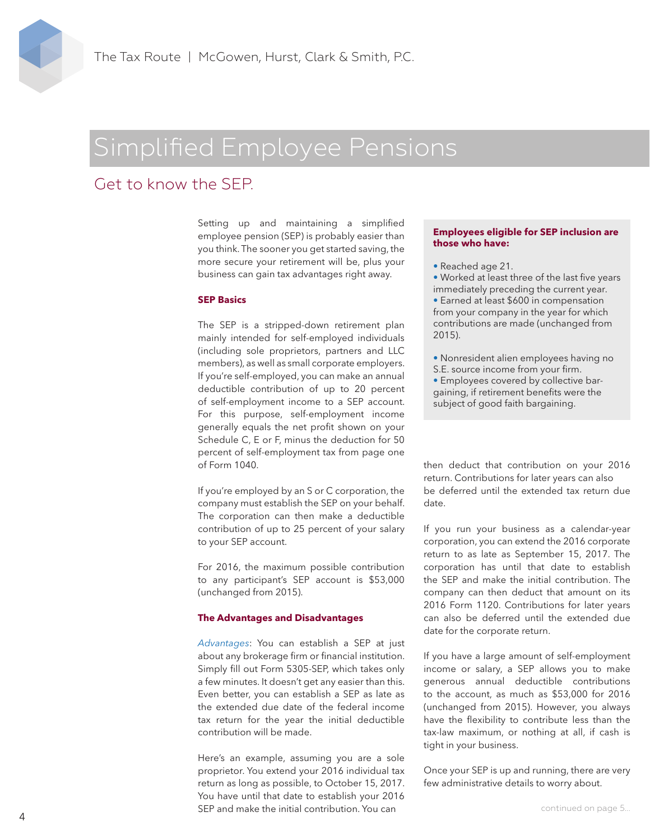# Simplified Employee Pensions

### Get to know the SEP.

Setting up and maintaining a simplified employee pension (SEP) is probably easier than you think. The sooner you get started saving, the more secure your retirement will be, plus your business can gain tax advantages right away.

#### **SEP Basics**

The SEP is a stripped-down retirement plan mainly intended for self-employed individuals (including sole proprietors, partners and LLC members), as well as small corporate employers. If you're self-employed, you can make an annual deductible contribution of up to 20 percent of self-employment income to a SEP account. For this purpose, self-employment income generally equals the net profit shown on your Schedule C, E or F, minus the deduction for 50 percent of self-employment tax from page one of Form 1040.

If you're employed by an S or C corporation, the company must establish the SEP on your behalf. The corporation can then make a deductible contribution of up to 25 percent of your salary to your SEP account.

For 2016, the maximum possible contribution to any participant's SEP account is \$53,000 (unchanged from 2015).

#### **The Advantages and Disadvantages**

*Advantages*: You can establish a SEP at just about any brokerage firm or financial institution. Simply fill out Form 5305-SEP, which takes only a few minutes. It doesn't get any easier than this. Even better, you can establish a SEP as late as the extended due date of the federal income tax return for the year the initial deductible contribution will be made.

Here's an example, assuming you are a sole proprietor. You extend your 2016 individual tax return as long as possible, to October 15, 2017. You have until that date to establish your 2016 SEP and make the initial contribution. You can

#### **Employees eligible for SEP inclusion are those who have:**

• Reached age 21.

• Worked at least three of the last five years immediately preceding the current year.

• Earned at least \$600 in compensation from your company in the year for which contributions are made (unchanged from 2015).

• Nonresident alien employees having no S.E. source income from your firm. • Employees covered by collective bar-

gaining, if retirement benefits were the subject of good faith bargaining.

then deduct that contribution on your 2016 return. Contributions for later years can also be deferred until the extended tax return due date.

If you run your business as a calendar-year corporation, you can extend the 2016 corporate return to as late as September 15, 2017. The corporation has until that date to establish the SEP and make the initial contribution. The company can then deduct that amount on its 2016 Form 1120. Contributions for later years can also be deferred until the extended due date for the corporate return.

If you have a large amount of self-employment income or salary, a SEP allows you to make generous annual deductible contributions to the account, as much as \$53,000 for 2016 (unchanged from 2015). However, you always have the flexibility to contribute less than the tax-law maximum, or nothing at all, if cash is tight in your business.

Once your SEP is up and running, there are very few administrative details to worry about.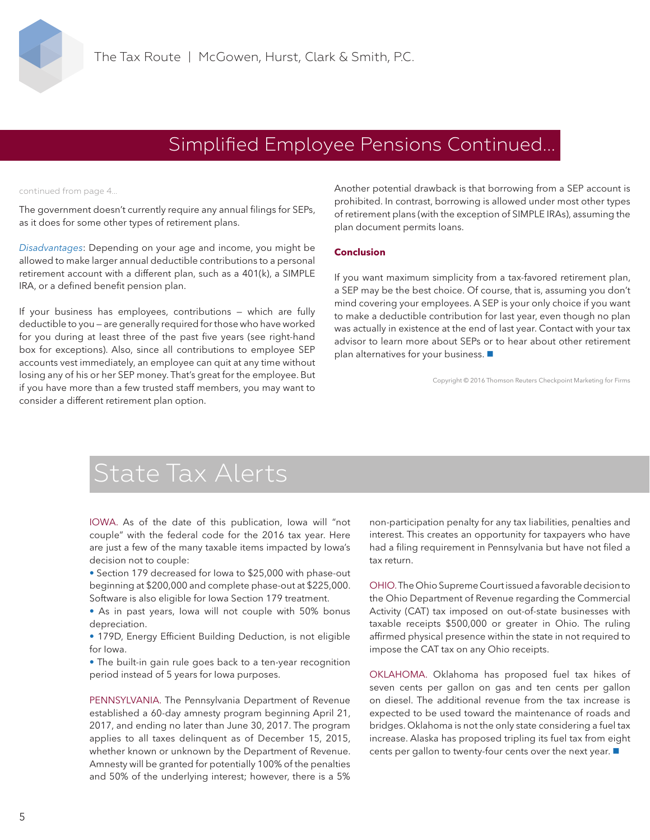

### Simplified Employee Pensions Continued...

continued from page 4...

The government doesn't currently require any annual filings for SEPs, as it does for some other types of retirement plans.

*Disadvantages*: Depending on your age and income, you might be allowed to make larger annual deductible contributions to a personal retirement account with a different plan, such as a 401(k), a SIMPLE IRA, or a defined benefit pension plan.

If your business has employees, contributions — which are fully deductible to you — are generally required for those who have worked for you during at least three of the past five years (see right-hand box for exceptions). Also, since all contributions to employee SEP accounts vest immediately, an employee can quit at any time without losing any of his or her SEP money. That's great for the employee. But if you have more than a few trusted staff members, you may want to consider a different retirement plan option.

Another potential drawback is that borrowing from a SEP account is prohibited. In contrast, borrowing is allowed under most other types of retirement plans (with the exception of SIMPLE IRAs), assuming the plan document permits loans.

#### **Conclusion**

If you want maximum simplicity from a tax-favored retirement plan, a SEP may be the best choice. Of course, that is, assuming you don't mind covering your employees. A SEP is your only choice if you want to make a deductible contribution for last year, even though no plan was actually in existence at the end of last year. Contact with your tax advisor to learn more about SEPs or to hear about other retirement plan alternatives for your business.

Copyright © 2016 Thomson Reuters Checkpoint Marketing for Firms

# State Tax Alerts

IOWA. As of the date of this publication, Iowa will "not couple" with the federal code for the 2016 tax year. Here are just a few of the many taxable items impacted by Iowa's decision not to couple:

*•* Section 179 decreased for Iowa to \$25,000 with phase-out beginning at \$200,000 and complete phase-out at \$225,000. Software is also eligible for Iowa Section 179 treatment.

*•* As in past years, Iowa will not couple with 50% bonus depreciation.

• 179D, Energy Efficient Building Deduction, is not eligible for Iowa.

*•* The built-in gain rule goes back to a ten-year recognition period instead of 5 years for Iowa purposes.

PENNSYLVANIA. The Pennsylvania Department of Revenue established a 60-day amnesty program beginning April 21, 2017, and ending no later than June 30, 2017. The program applies to all taxes delinquent as of December 15, 2015, whether known or unknown by the Department of Revenue. Amnesty will be granted for potentially 100% of the penalties and 50% of the underlying interest; however, there is a 5%

non-participation penalty for any tax liabilities, penalties and interest. This creates an opportunity for taxpayers who have had a filing requirement in Pennsylvania but have not filed a tax return.

OHIO. The Ohio Supreme Court issued a favorable decision to the Ohio Department of Revenue regarding the Commercial Activity (CAT) tax imposed on out-of-state businesses with taxable receipts \$500,000 or greater in Ohio. The ruling affirmed physical presence within the state in not required to impose the CAT tax on any Ohio receipts.

OKLAHOMA. Oklahoma has proposed fuel tax hikes of seven cents per gallon on gas and ten cents per gallon on diesel. The additional revenue from the tax increase is expected to be used toward the maintenance of roads and bridges. Oklahoma is not the only state considering a fuel tax increase. Alaska has proposed tripling its fuel tax from eight cents per gallon to twenty-four cents over the next year.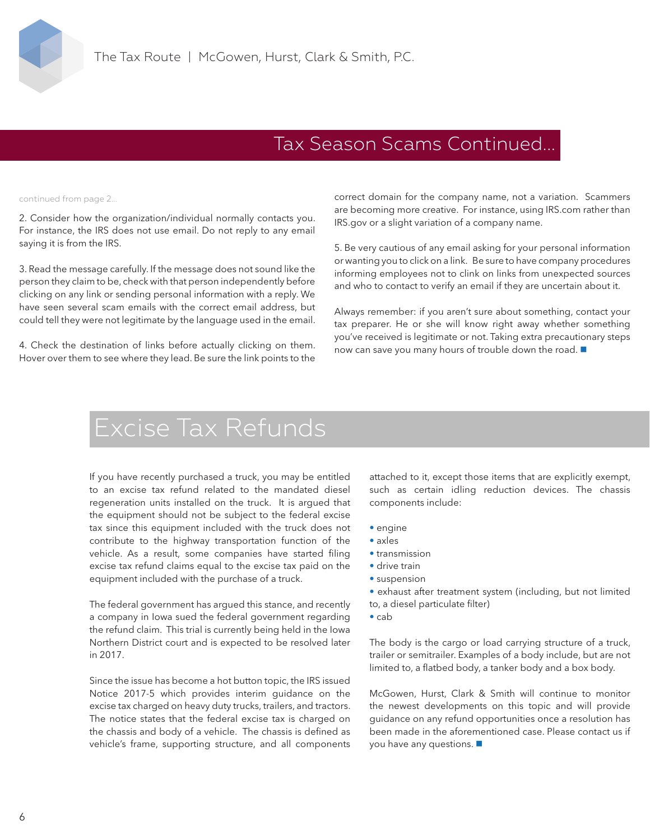### Tax Season Scams Continued...

continued from page 2...

2. Consider how the organization/individual normally contacts you. For instance, the IRS does not use email. Do not reply to any email saying it is from the IRS.

3. Read the message carefully. If the message does not sound like the person they claim to be, check with that person independently before clicking on any link or sending personal information with a reply. We have seen several scam emails with the correct email address, but could tell they were not legitimate by the language used in the email.

4. Check the destination of links before actually clicking on them. Hover over them to see where they lead. Be sure the link points to the

correct domain for the company name, not a variation. Scammers are becoming more creative. For instance, using IRS.com rather than IRS.gov or a slight variation of a company name.

5. Be very cautious of any email asking for your personal information or wanting you to click on a link. Be sure to have company procedures informing employees not to clink on links from unexpected sources and who to contact to verify an email if they are uncertain about it.

Always remember: if you aren't sure about something, contact your tax preparer. He or she will know right away whether something you've received is legitimate or not. Taking extra precautionary steps now can save you many hours of trouble down the road.

## Excise Tax Refunds

If you have recently purchased a truck, you may be entitled to an excise tax refund related to the mandated diesel regeneration units installed on the truck. It is argued that the equipment should not be subject to the federal excise tax since this equipment included with the truck does not contribute to the highway transportation function of the vehicle. As a result, some companies have started filing excise tax refund claims equal to the excise tax paid on the equipment included with the purchase of a truck.

The federal government has argued this stance, and recently a company in Iowa sued the federal government regarding the refund claim. This trial is currently being held in the Iowa Northern District court and is expected to be resolved later in 2017.

Since the issue has become a hot button topic, the IRS issued Notice 2017-5 which provides interim guidance on the excise tax charged on heavy duty trucks, trailers, and tractors. The notice states that the federal excise tax is charged on the chassis and body of a vehicle. The chassis is defined as vehicle's frame, supporting structure, and all components attached to it, except those items that are explicitly exempt, such as certain idling reduction devices. The chassis components include:

- engine
- axles
- transmission
- drive train
- suspension

• exhaust after treatment system (including, but not limited to, a diesel particulate filter)

• cab

The body is the cargo or load carrying structure of a truck, trailer or semitrailer. Examples of a body include, but are not limited to, a flatbed body, a tanker body and a box body.

McGowen, Hurst, Clark & Smith will continue to monitor the newest developments on this topic and will provide guidance on any refund opportunities once a resolution has been made in the aforementioned case. Please contact us if you have any questions.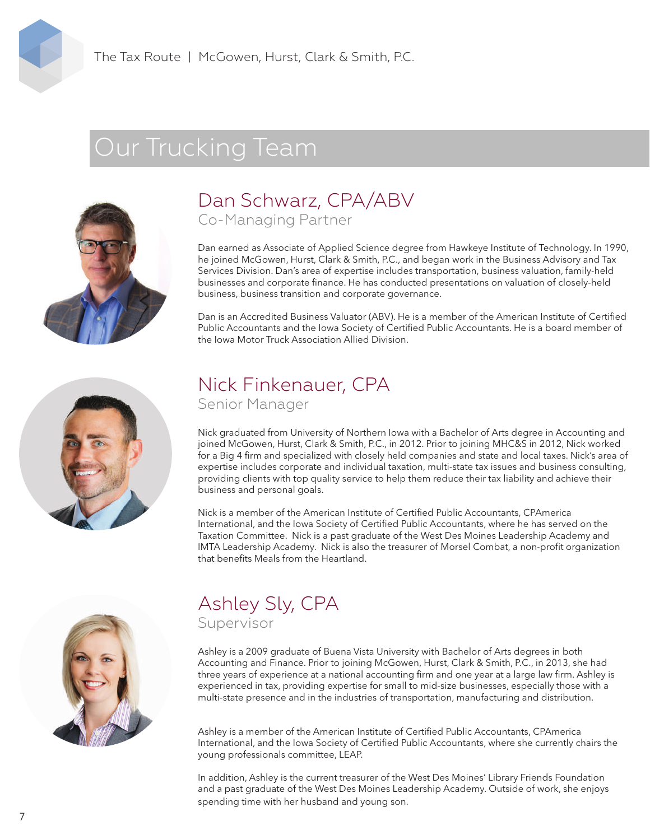# Our Trucking Team



### Dan Schwarz, CPA/ABV Co-Managing Partner

Dan earned as Associate of Applied Science degree from Hawkeye Institute of Technology. In 1990, he joined McGowen, Hurst, Clark & Smith, P.C., and began work in the Business Advisory and Tax Services Division. Dan's area of expertise includes transportation, business valuation, family-held businesses and corporate finance. He has conducted presentations on valuation of closely-held business, business transition and corporate governance.

Dan is an Accredited Business Valuator (ABV). He is a member of the American Institute of Certified Public Accountants and the Iowa Society of Certified Public Accountants. He is a board member of the Iowa Motor Truck Association Allied Division.



### Nick Finkenauer, CPA Senior Manager

Nick graduated from University of Northern Iowa with a Bachelor of Arts degree in Accounting and joined McGowen, Hurst, Clark & Smith, P.C., in 2012. Prior to joining MHC&S in 2012, Nick worked for a Big 4 firm and specialized with closely held companies and state and local taxes. Nick's area of expertise includes corporate and individual taxation, multi-state tax issues and business consulting, providing clients with top quality service to help them reduce their tax liability and achieve their business and personal goals.

Nick is a member of the American Institute of Certified Public Accountants, CPAmerica International, and the Iowa Society of Certified Public Accountants, where he has served on the Taxation Committee. Nick is a past graduate of the West Des Moines Leadership Academy and IMTA Leadership Academy. Nick is also the treasurer of Morsel Combat, a non-profit organization that benefits Meals from the Heartland



# Ashley Sly, CPA

Supervisor

Ashley is a 2009 graduate of Buena Vista University with Bachelor of Arts degrees in both Accounting and Finance. Prior to joining McGowen, Hurst, Clark & Smith, P.C., in 2013, she had three years of experience at a national accounting firm and one year at a large law firm. Ashley is experienced in tax, providing expertise for small to mid-size businesses, especially those with a multi-state presence and in the industries of transportation, manufacturing and distribution.

Ashley is a member of the American Institute of Certified Public Accountants, CPAmerica International, and the Iowa Society of Certified Public Accountants, where she currently chairs the young professionals committee, LEAP.

In addition, Ashley is the current treasurer of the West Des Moines' Library Friends Foundation and a past graduate of the West Des Moines Leadership Academy. Outside of work, she enjoys spending time with her husband and young son.